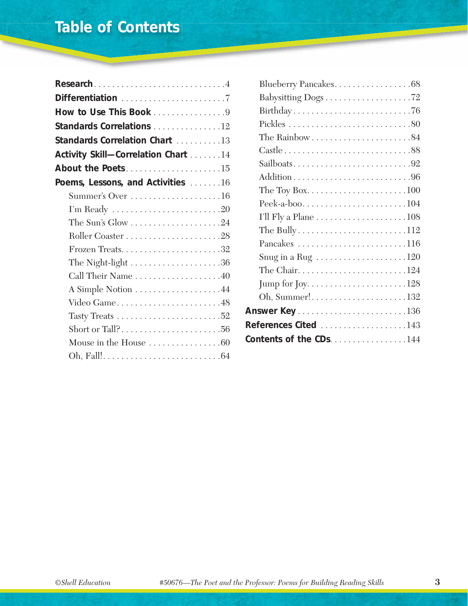| Research4                                               |
|---------------------------------------------------------|
|                                                         |
| How to Use This Book 9                                  |
| Standards Correlations 12                               |
| Standards Correlation Chart 13                          |
| Activity Skill-Correlation Chart 14                     |
| About the Poets15                                       |
| Poems, Lessons, and Activities 16                       |
| Summer's Over 16                                        |
|                                                         |
| The Sun's Glow $\dots\dots\dots\dots\dots\dots 24$      |
|                                                         |
|                                                         |
| The Night-light $\dots\dots\dots\dots\dots\dots\dots36$ |
| Call Their Name 40                                      |
|                                                         |
|                                                         |
|                                                         |
| Short or Tall?56                                        |
| Mouse in the House $\dots \dots \dots \dots \dots 60$   |
|                                                         |

| Blueberry Pancakes68                                              |
|-------------------------------------------------------------------|
|                                                                   |
|                                                                   |
|                                                                   |
| The Rainbow $\dots \dots \dots \dots \dots \dots \dots 84$        |
|                                                                   |
|                                                                   |
| Addition96                                                        |
|                                                                   |
| Peek-a-boo104                                                     |
|                                                                   |
|                                                                   |
|                                                                   |
| Snug in a Rug $\dots\dots\dots\dots\dots\dots 120$                |
|                                                                   |
|                                                                   |
| Oh, Summer!132                                                    |
| Answer Key $\ldots \ldots \ldots \ldots \ldots \ldots \ldots 136$ |
| References Cited 143                                              |
| Contents of the CDs144                                            |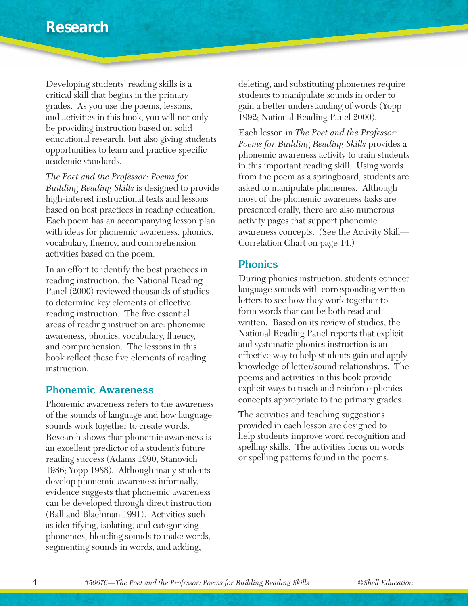Developing students' reading skills is a critical skill that begins in the primary grades. As you use the poems, lessons, and activities in this book, you will not only be providing instruction based on solid educational research, but also giving students opportunities to learn and practice specific academic standards.

*The Poet and the Professor: Poems for Building Reading Skills* is designed to provide high-interest instructional texts and lessons based on best practices in reading education. Each poem has an accompanying lesson plan with ideas for phonemic awareness, phonics, vocabulary, fluency, and comprehension activities based on the poem.

In an effort to identify the best practices in reading instruction, the National Reading Panel (2000) reviewed thousands of studies to determine key elements of effective reading instruction. The five essential areas of reading instruction are: phonemic awareness, phonics, vocabulary, fluency, and comprehension. The lessons in this book reflect these five elements of reading instruction.

#### **Phonemic Awareness**

Phonemic awareness refers to the awareness of the sounds of language and how language sounds work together to create words. Research shows that phonemic awareness is an excellent predictor of a student's future reading success (Adams 1990; Stanovich 1986; Yopp 1988). Although many students develop phonemic awareness informally, evidence suggests that phonemic awareness can be developed through direct instruction (Ball and Blachman 1991). Activities such as identifying, isolating, and categorizing phonemes, blending sounds to make words, segmenting sounds in words, and adding,

deleting, and substituting phonemes require students to manipulate sounds in order to gain a better understanding of words (Yopp 1992; National Reading Panel 2000).

Each lesson in *The Poet and the Professor: Poems for Building Reading Skills* provides a phonemic awareness activity to train students in this important reading skill. Using words from the poem as a springboard, students are asked to manipulate phonemes. Although most of the phonemic awareness tasks are presented orally, there are also numerous activity pages that support phonemic awareness concepts. (See the Activity Skill— Correlation Chart on page 14.)

#### **Phonics**

During phonics instruction, students connect language sounds with corresponding written letters to see how they work together to form words that can be both read and written. Based on its review of studies, the National Reading Panel reports that explicit and systematic phonics instruction is an effective way to help students gain and apply knowledge of letter/sound relationships. The poems and activities in this book provide explicit ways to teach and reinforce phonics concepts appropriate to the primary grades.

The activities and teaching suggestions provided in each lesson are designed to help students improve word recognition and spelling skills. The activities focus on words or spelling patterns found in the poems.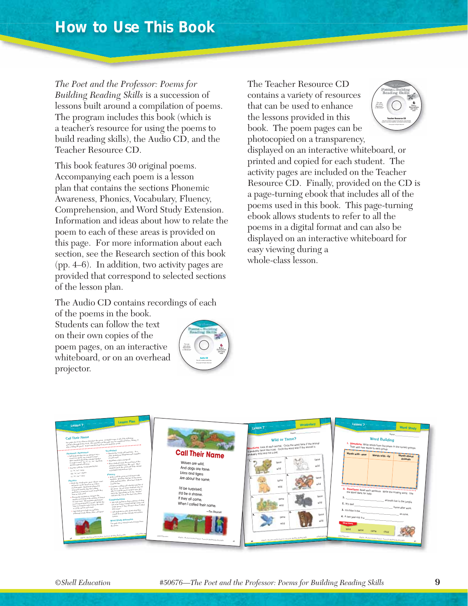*The Poet and the Professor: Poems for Building Reading Skills* is a succession of lessons built around a compilation of poems. The program includes this book (which is a teacher's resource for using the poems to build reading skills), the Audio CD, and the Teacher Resource CD.

This book features 30 original poems. Accompanying each poem is a lesson plan that contains the sections Phonemic Awareness, Phonics, Vocabulary, Fluency, Comprehension, and Word Study Extension. Information and ideas about how to relate the poem to each of these areas is provided on this page. For more information about each section, see the Research section of this book (pp. 4–6). In addition, two activity pages are provided that correspond to selected sections of the lesson plan.

The Audio CD contains recordings of each

of the poems in the book. Students can follow the text on their own copies of the poem pages, on an interactive whiteboard, or on an overhead

projector.

The Teacher Resource CD contains a variety of resources that can be used to enhance the lessons provided in this book. The poem pages can be photocopied on a transparency, displayed on an interactive whiteboard, or printed and copied for each student. The activity pages are included on the Teacher Resource CD. Finally, provided on the CD is a page-turning ebook that includes all of the poems used in this book. This page-turning ebook allows students to refer to all the poems in a digital format and can also be displayed on an interactive whiteboard for easy viewing during a **4&1 J Teacher Resource CD** with either Macintosh<sup>®</sup> or Windows\*

whole-class lesson.



**J**

**Audio CD** This CD contains audio ties.

For use with either Macintosh<sup>®</sup>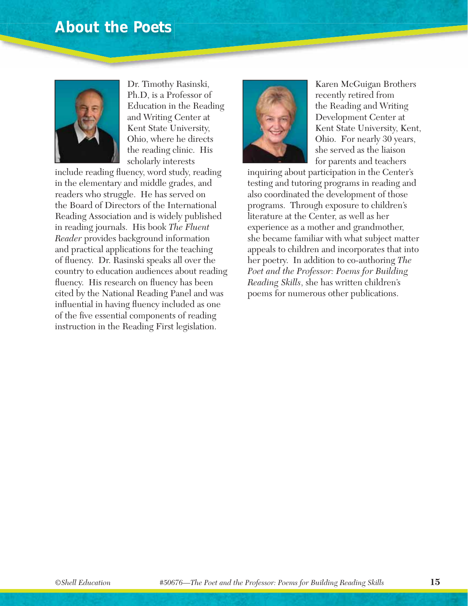### **About the Poets**



Dr. Timothy Rasinski, Ph.D, is a Professor of Education in the Reading and Writing Center at Kent State University, Ohio, where he directs the reading clinic. His scholarly interests

include reading fluency, word study, reading in the elementary and middle grades, and readers who struggle. He has served on the Board of Directors of the International Reading Association and is widely published in reading journals. His book *The Fluent Reader* provides background information and practical applications for the teaching of fluency. Dr. Rasinski speaks all over the country to education audiences about reading fluency. His research on fluency has been cited by the National Reading Panel and was influential in having fluency included as one of the five essential components of reading instruction in the Reading First legislation.



Karen McGuigan Brothers recently retired from the Reading and Writing Development Center at Kent State University, Kent, Ohio. For nearly 30 years, she served as the liaison for parents and teachers

inquiring about participation in the Center's testing and tutoring programs in reading and also coordinated the development of those programs. Through exposure to children's literature at the Center, as well as her experience as a mother and grandmother, she became familiar with what subject matter appeals to children and incorporates that into her poetry. In addition to co-authoring *The Poet and the Professor: Poems for Building Reading Skills*, she has written children's poems for numerous other publications.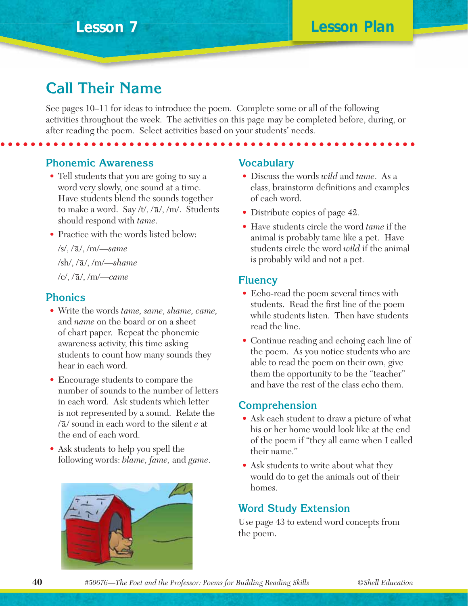## **Call Their Name**

See pages 10–11 for ideas to introduce the poem. Complete some or all of the following activities throughout the week. The activities on this page may be completed before, during, or after reading the poem. Select activities based on your students' needs.

**Phonemic Awareness**

- Tell students that you are going to say a word very slowly, one sound at a time. Have students blend the sounds together to make a word. Say /t/,  $/\overline{a}/$ , /m/. Students should respond with *tame*.
- Practice with the words listed below:

 /s/, /− /, /m/— a *same* /sh/, /− /, /m/— a *shame* /c/, /− /, /m/— a *came*

#### **Phonics**

- Write the words *tame, same, shame, came,* and *name* on the board or on a sheet of chart paper. Repeat the phonemic awareness activity, this time asking students to count how many sounds they hear in each word.
- Encourage students to compare the number of sounds to the number of letters in each word. Ask students which letter is not represented by a sound. Relate the  $\sqrt{a}$  sound in each word to the silent *e* at the end of each word.
- Ask students to help you spell the following words: *blame, fame,* and *game*.



#### **Vocabulary**

- Discuss the words *wild* and *tame*. As a class, brainstorm definitions and examples of each word.
- Distribute copies of page 42.
- Have students circle the word *tame* if the animal is probably tame like a pet. Have students circle the word *wild* if the animal is probably wild and not a pet.

#### **Fluency**

- Echo-read the poem several times with students. Read the first line of the poem while students listen. Then have students read the line.
- Continue reading and echoing each line of the poem. As you notice students who are able to read the poem on their own, give them the opportunity to be the "teacher" and have the rest of the class echo them.

#### **Comprehension**

- Ask each student to draw a picture of what his or her home would look like at the end of the poem if "they all came when I called their name."
- Ask students to write about what they would do to get the animals out of their homes.

#### **Word Study Extension**

Use page 43 to extend word concepts from the poem.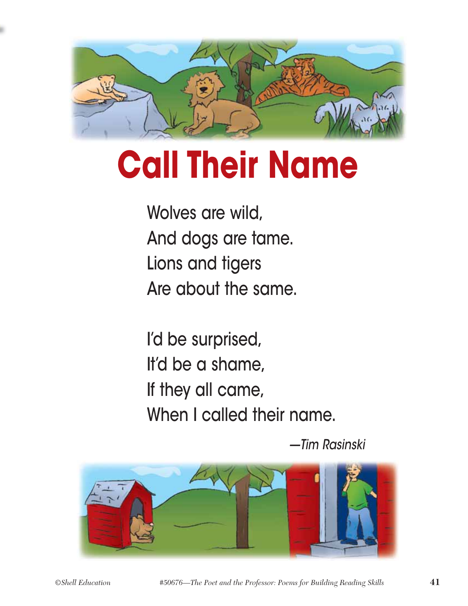

# **Call Their Name**

Wolves are wild, And dogs are tame. Lions and tigers Are about the same.

I'd be surprised, It'd be a shame, If they all came, When I called their name.

—Tim Rasinski

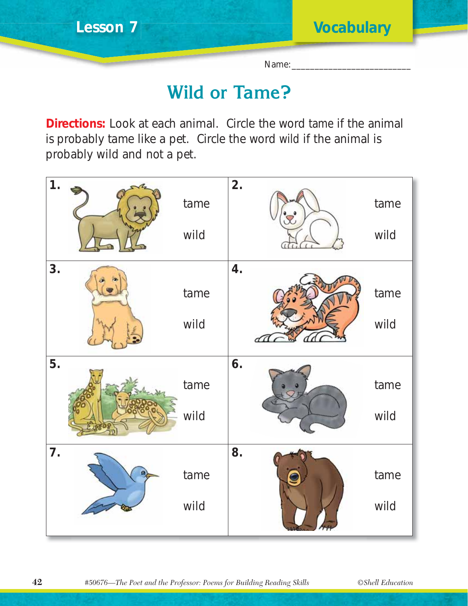Name:

## **Wild or Tame?**

**Directions:** Look at each animal. Circle the word *tame* if the animal is probably tame like a pet. Circle the word *wild* if the animal is probably wild and not a pet.